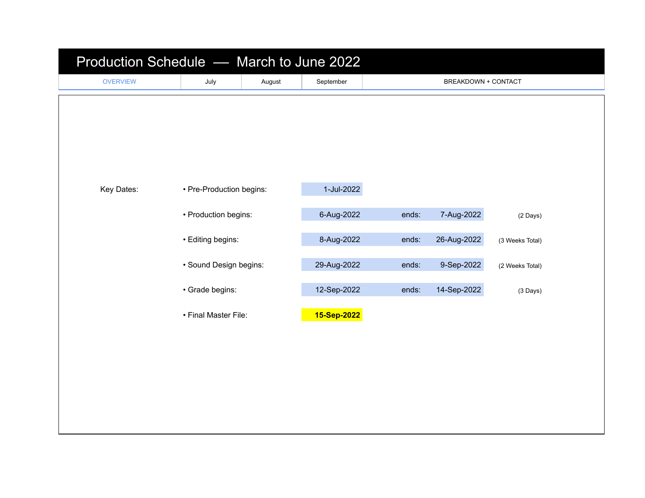| Production Schedule - March to June 2022 |                                                                                        |        |             |       |                     |                 |  |  |
|------------------------------------------|----------------------------------------------------------------------------------------|--------|-------------|-------|---------------------|-----------------|--|--|
| <b>OVERVIEW</b>                          | July                                                                                   | August | September   |       | BREAKDOWN + CONTACT |                 |  |  |
|                                          |                                                                                        |        |             |       |                     |                 |  |  |
|                                          |                                                                                        |        |             |       |                     |                 |  |  |
|                                          |                                                                                        |        |             |       |                     |                 |  |  |
|                                          |                                                                                        |        |             |       |                     |                 |  |  |
| Key Dates:                               | • Pre-Production begins:                                                               |        | 1-Jul-2022  |       |                     |                 |  |  |
|                                          |                                                                                        |        |             |       |                     |                 |  |  |
|                                          | • Production begins:<br>• Editing begins:<br>· Sound Design begins:<br>· Grade begins: |        | 6-Aug-2022  | ends: | 7-Aug-2022          | (2 Days)        |  |  |
|                                          |                                                                                        |        | 8-Aug-2022  | ends: | 26-Aug-2022         | (3 Weeks Total) |  |  |
|                                          |                                                                                        |        | 29-Aug-2022 | ends: | 9-Sep-2022          | (2 Weeks Total) |  |  |
|                                          |                                                                                        |        | 12-Sep-2022 | ends: | 14-Sep-2022         | $(3$ Days)      |  |  |
|                                          |                                                                                        |        |             |       |                     |                 |  |  |
|                                          | • Final Master File:                                                                   |        | 15-Sep-2022 |       |                     |                 |  |  |
|                                          |                                                                                        |        |             |       |                     |                 |  |  |
|                                          |                                                                                        |        |             |       |                     |                 |  |  |
|                                          |                                                                                        |        |             |       |                     |                 |  |  |
|                                          |                                                                                        |        |             |       |                     |                 |  |  |
|                                          |                                                                                        |        |             |       |                     |                 |  |  |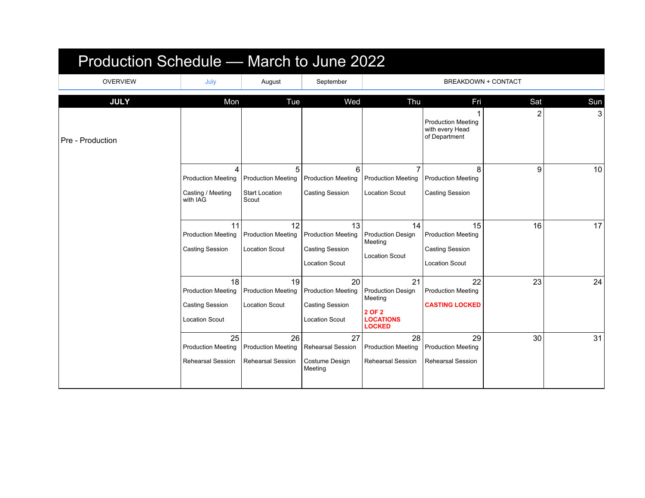| Production Schedule — March to June 2022 |                                                                             |                                                                  |                                                                                    |                                                                                          |                                                                                    |                            |            |
|------------------------------------------|-----------------------------------------------------------------------------|------------------------------------------------------------------|------------------------------------------------------------------------------------|------------------------------------------------------------------------------------------|------------------------------------------------------------------------------------|----------------------------|------------|
| <b>OVERVIEW</b>                          | July                                                                        | August                                                           | September                                                                          |                                                                                          |                                                                                    | <b>BREAKDOWN + CONTACT</b> |            |
| <b>JULY</b>                              | Mon                                                                         | Tue                                                              | Wed                                                                                | Thu                                                                                      | Fri                                                                                | Sat                        | <b>Sun</b> |
| Pre - Production                         |                                                                             |                                                                  |                                                                                    |                                                                                          | <b>Production Meeting</b><br>with every Head<br>of Department                      | 2                          | 3          |
|                                          | 4<br><b>Production Meeting</b><br>Casting / Meeting<br>with IAG             | 5<br><b>Production Meeting</b><br><b>Start Location</b><br>Scout | 6<br><b>Production Meeting</b><br><b>Casting Session</b>                           | <b>Production Meeting</b><br><b>Location Scout</b>                                       | 8<br><b>Production Meeting</b><br><b>Casting Session</b>                           | 9                          | 10         |
|                                          |                                                                             |                                                                  |                                                                                    |                                                                                          |                                                                                    |                            |            |
|                                          | 11<br><b>Production Meeting</b><br><b>Casting Session</b>                   | 12<br><b>Production Meeting</b><br><b>Location Scout</b>         | 13<br><b>Production Meeting</b><br><b>Casting Session</b><br><b>Location Scout</b> | 14<br><b>Production Design</b><br>Meeting<br><b>Location Scout</b>                       | 15<br><b>Production Meeting</b><br><b>Casting Session</b><br><b>Location Scout</b> | 16                         | 17         |
|                                          | 18<br><b>Production Meeting</b><br>Casting Session<br><b>Location Scout</b> | 19<br><b>Production Meeting</b><br><b>Location Scout</b>         | 20<br><b>Production Meeting</b><br><b>Casting Session</b><br><b>Location Scout</b> | 21<br><b>Production Design</b><br>Meeting<br>2 OF 2<br><b>LOCATIONS</b><br><b>LOCKED</b> | 22<br><b>Production Meeting</b><br><b>CASTING LOCKED</b>                           | 23                         | 24         |
|                                          | 25<br><b>Production Meeting</b><br><b>Rehearsal Session</b>                 | 26<br><b>Production Meeting</b><br><b>Rehearsal Session</b>      | 27<br><b>Rehearsal Session</b><br>Costume Design<br>Meeting                        | 28<br><b>Production Meeting</b><br><b>Rehearsal Session</b>                              | 29<br><b>Production Meeting</b><br><b>Rehearsal Session</b>                        | 30                         | 31         |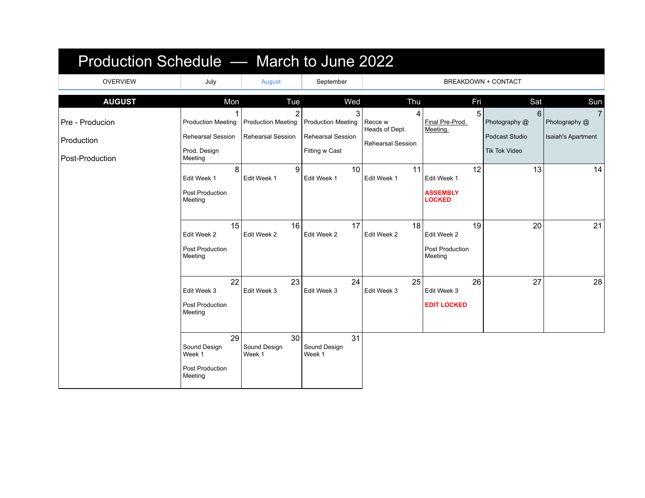| Production Schedule — March to June 2022 |                                                            |                              |                                            |                           |                                                 |                                        |                       |
|------------------------------------------|------------------------------------------------------------|------------------------------|--------------------------------------------|---------------------------|-------------------------------------------------|----------------------------------------|-----------------------|
| <b>OVERVIEW</b>                          | July                                                       | August                       | September                                  |                           |                                                 | <b>BREAKDOWN + CONTACT</b>             |                       |
| <b>AUGUST</b>                            | Mon                                                        | Tue<br>2                     | Wed<br>3                                   | Thu<br>4                  | Fri<br>5                                        | Sat<br>6                               | Sun<br>$\overline{7}$ |
| Pre - Producion                          | <b>Production Meeting</b>                                  | <b>Production Meeting</b>    | <b>Production Meeting</b>                  | Recce w<br>Heads of Dept. | Final Pre-Prod.<br>Meeting.                     | Photography @                          | Photography @         |
| Production                               | <b>Rehearsal Session</b><br>Prod. Design                   | <b>Rehearsal Session</b>     | <b>Rehearsal Session</b><br>Fitting w Cast | <b>Rehearsal Session</b>  |                                                 | Podcast Studio<br><b>Tik Tok Video</b> | Isaiah's Apartment    |
| Post-Production                          | Meeting                                                    |                              |                                            |                           |                                                 |                                        |                       |
|                                          | 8<br>Edit Week 1                                           | 9<br>Edit Week 1             | 10<br>Edit Week 1                          | 11<br>Edit Week 1         | 12<br>Edit Week 1                               | 13                                     | 14                    |
|                                          | Post Production<br>Meeting                                 |                              |                                            |                           | <b>ASSEMBLY</b><br><b>LOCKED</b>                |                                        |                       |
|                                          | 15<br>Edit Week 2<br>Post Production<br>Meeting            | 16<br>Edit Week 2            | 17<br>Edit Week 2                          | 18<br>Edit Week 2         | 19<br>Edit Week 2<br>Post Production<br>Meeting | 20                                     | 21                    |
|                                          | 22<br>Edit Week 3<br>Post Production<br>Meeting            | 23<br>Edit Week 3            | 24<br>Edit Week 3                          | 25<br>Edit Week 3         | 26<br>Edit Week 3<br><b>EDIT LOCKED</b>         | 27                                     | 28                    |
|                                          | 29<br>Sound Design<br>Week 1<br>Post Production<br>Meeting | 30<br>Sound Design<br>Week 1 | 31<br>Sound Design<br>Week 1               |                           |                                                 |                                        |                       |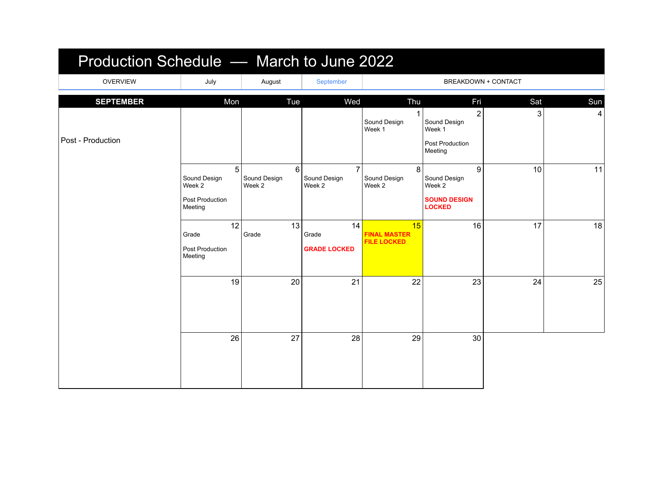| Production Schedule - March to June 2022 |                                                           |                             |                                          |                                                 |                                                                        |     |     |
|------------------------------------------|-----------------------------------------------------------|-----------------------------|------------------------------------------|-------------------------------------------------|------------------------------------------------------------------------|-----|-----|
| <b>OVERVIEW</b>                          | July                                                      | August                      | September                                |                                                 | BREAKDOWN + CONTACT                                                    |     |     |
| <b>SEPTEMBER</b>                         | Mon                                                       | Tue                         | Wed                                      | Thu                                             | Fri                                                                    | Sat | Sun |
| Post - Production                        |                                                           |                             |                                          | Sound Design<br>Week 1                          | $\overline{2}$<br>Sound Design<br>Week 1<br>Post Production<br>Meeting | 3   | 4   |
|                                          | 5<br>Sound Design<br>Week 2<br>Post Production<br>Meeting | 6<br>Sound Design<br>Week 2 | $\overline{7}$<br>Sound Design<br>Week 2 | 8<br>Sound Design<br>Week 2                     | 9<br>Sound Design<br>Week 2<br><b>SOUND DESIGN</b><br><b>LOCKED</b>    | 10  | 11  |
|                                          | 12<br>Grade<br>Post Production<br>Meeting                 | 13<br>Grade                 | 14<br>Grade<br><b>GRADE LOCKED</b>       | 15<br><b>FINAL MASTER</b><br><b>FILE LOCKED</b> | 16                                                                     | 17  | 18  |
|                                          | 19                                                        | 20                          | 21                                       | 22                                              | 23                                                                     | 24  | 25  |
|                                          | 26                                                        | 27                          | 28                                       | 29                                              | 30                                                                     |     |     |